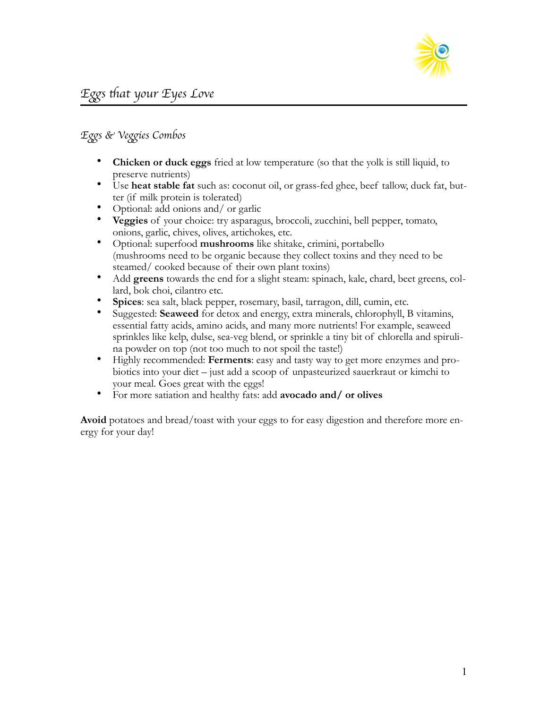

## *E*g*s* t*at your Eyes Love*

## *E*g*s & Ve*g*ies Combos*

- **Chicken or duck eggs** fried at low temperature (so that the yolk is still liquid, to preserve nutrients)
- Use **heat stable fat** such as: coconut oil, or grass-fed ghee, beef tallow, duck fat, butter (if milk protein is tolerated)
- Optional: add onions and/ or garlic
- **Veggies** of your choice: try asparagus, broccoli, zucchini, bell pepper, tomato, onions, garlic, chives, olives, artichokes, etc.
- Optional: superfood **mushrooms** like shitake, crimini, portabello (mushrooms need to be organic because they collect toxins and they need to be steamed/ cooked because of their own plant toxins)
- Add **greens** towards the end for a slight steam: spinach, kale, chard, beet greens, collard, bok choi, cilantro etc.
- **Spices**: sea salt, black pepper, rosemary, basil, tarragon, dill, cumin, etc.
- Suggested: **Seaweed** for detox and energy, extra minerals, chlorophyll, B vitamins, essential fatty acids, amino acids, and many more nutrients! For example, seaweed sprinkles like kelp, dulse, sea-veg blend, or sprinkle a tiny bit of chlorella and spirulina powder on top (not too much to not spoil the taste!)
- Highly recommended: **Ferments**: easy and tasty way to get more enzymes and probiotics into your diet – just add a scoop of unpasteurized sauerkraut or kimchi to your meal. Goes great with the eggs!
- For more satiation and healthy fats: add **avocado and/ or olives**

**Avoid** potatoes and bread/toast with your eggs to for easy digestion and therefore more energy for your day!